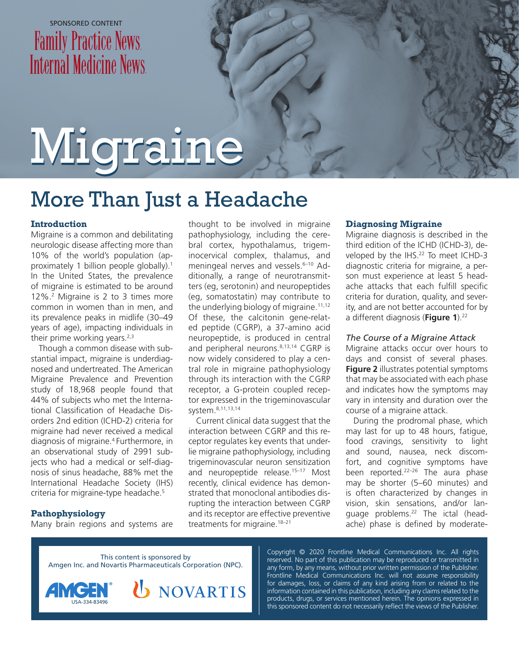## SPONSORED CONTENT **Family Practice News Internal Medicine News**

# Migraine Migraine

## More Than Just a Headache

#### **Introduction**

Migraine is a common and debilitating neurologic disease affecting more than 10% of the world's population (approximately 1 billion people globally).<sup>1</sup> In the United States, the prevalence of migraine is estimated to be around 12%.2 Migraine is 2 to 3 times more common in women than in men, and its prevalence peaks in midlife (30–49 years of age), impacting individuals in their prime working years. $2,3$ 

Though a common disease with substantial impact, migraine is underdiagnosed and undertreated. The American Migraine Prevalence and Prevention study of 18,968 people found that 44% of subjects who met the International Classification of Headache Disorders 2nd edition (ICHD-2) criteria for migraine had never received a medical diagnosis of migraine.4 Furthermore, in an observational study of 2991 subjects who had a medical or self-diagnosis of sinus headache, 88% met the International Headache Society (IHS) criteria for migraine-type headache.<sup>5</sup>

#### **Pathophysiology**

Many brain regions and systems are

thought to be involved in migraine pathophysiology, including the cerebral cortex, hypothalamus, trigeminocervical complex, thalamus, and meningeal nerves and vessels.<sup>6-10</sup> Additionally, a range of neurotransmitters (eg, serotonin) and neuropeptides (eg, somatostatin) may contribute to the underlying biology of migraine. $11,12$ Of these, the calcitonin gene-related peptide (CGRP), a 37-amino acid neuropeptide, is produced in central and peripheral neurons.<sup>8,13,14</sup> CGRP is now widely considered to play a central role in migraine pathophysiology through its interaction with the CGRP receptor, a G-protein coupled receptor expressed in the trigeminovascular system.8,11,13,14

Current clinical data suggest that the interaction between CGRP and this receptor regulates key events that underlie migraine pathophysiology, including trigeminovascular neuron sensitization and neuropeptide release.<sup>15-17</sup> Most recently, clinical evidence has demonstrated that monoclonal antibodies disrupting the interaction between CGRP and its receptor are effective preventive treatments for migraine.<sup>18-21</sup>

#### **Diagnosing Migraine**

Migraine diagnosis is described in the third edition of the ICHD (ICHD-3), developed by the IHS.<sup>22</sup> To meet ICHD-3 diagnostic criteria for migraine, a person must experience at least 5 headache attacks that each fulfill specific criteria for duration, quality, and severity, and are not better accounted for by a different diagnosis (Figure 1).<sup>22</sup>

#### *The Course of a Migraine Attack*

Migraine attacks occur over hours to days and consist of several phases. **Figure 2** illustrates potential symptoms that may be associated with each phase and indicates how the symptoms may vary in intensity and duration over the course of a migraine attack.

During the prodromal phase, which may last for up to 48 hours, fatigue, food cravings, sensitivity to light and sound, nausea, neck discomfort, and cognitive symptoms have been reported.<sup>22-26</sup> The aura phase may be shorter (5–60 minutes) and is often characterized by changes in vision, skin sensations, and/or language problems.22 The ictal (headache) phase is defined by moderate-

This content is sponsored by Amgen Inc. and Novartis Pharmaceuticals Corporation (NPC).

**NOVARTIS** 



Copyright © 2020 Frontline Medical Communications Inc. All rights reserved. No part of this publication may be reproduced or transmitted in any form, by any means, without prior written permission of the Publisher. Frontline Medical Communications Inc. will not assume responsibility for damages, loss, or claims of any kind arising from or related to the information contained in this publication, including any claims related to the products, drugs, or services mentioned herein. The opinions expressed in this sponsored content do not necessarily reflect the views of the Publisher.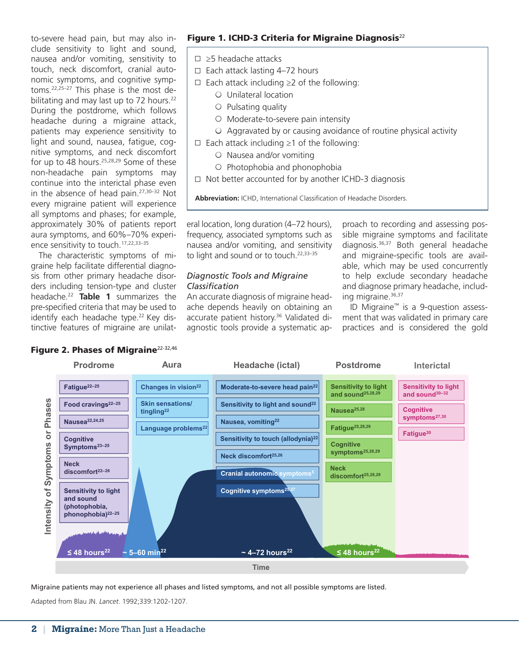to-severe head pain, but may also include sensitivity to light and sound, nausea and/or vomiting, sensitivity to touch, neck discomfort, cranial autonomic symptoms, and cognitive symptoms.22,25–27 This phase is the most debilitating and may last up to 72 hours.<sup>22</sup> During the postdrome, which follows headache during a migraine attack, patients may experience sensitivity to light and sound, nausea, fatigue, cognitive symptoms, and neck discomfort for up to 48 hours.<sup>25,28,29</sup> Some of these non-headache pain symptoms may continue into the interictal phase even in the absence of head pain. $27,30-32$  Not every migraine patient will experience all symptoms and phases; for example, approximately 30% of patients report aura symptoms, and 60%–70% experience sensitivity to touch.<sup>17,22,33-35</sup>

The characteristic symptoms of migraine help facilitate differential diagnosis from other primary headache disorders including tension-type and cluster headache.22 **Table 1** summarizes the pre-specified criteria that may be used to identify each headache type.<sup>22</sup> Key distinctive features of migraine are unilat-

### Figure 1. ICHD-3 Criteria for Migraine Diagnosis $^{22}$

- ≥5 headache attacks
- $\Box$  Each attack lasting 4-72 hours
- Each attack including ≥2 of the following:
	- $\circ$  Unilateral location
	- $\circ$  Pulsating quality
	- $\circ$  Moderate-to-severe pain intensity
	- $\circ$  Aggravated by or causing avoidance of routine physical activity
- Each attack including ≥1 of the following:
	- $\circ$  Nausea and/or vomiting
	- O Photophobia and phonophobia
- $\Box$  Not better accounted for by another ICHD-3 diagnosis

**Abbreviation:** ICHD, International Classification of Headache Disorders.

eral location, long duration (4–72 hours), frequency, associated symptoms such as nausea and/or vomiting, and sensitivity to light and sound or to touch.<sup>22,33-35</sup>

#### *Diagnostic Tools and Migraine Classification*

An accurate diagnosis of migraine headache depends heavily on obtaining an accurate patient history.<sup>36</sup> Validated diagnostic tools provide a systematic approach to recording and assessing possible migraine symptoms and facilitate diagnosis.36,37 Both general headache and migraine-specific tools are available, which may be used concurrently to help exclude secondary headache and diagnose primary headache, including migraine.<sup>36,37</sup>

ID Migraine™ is a 9-question assessment that was validated in primary care practices and is considered the gold





Migraine patients may not experience all phases and listed symptoms, and not all possible symptoms are listed.

Adapted from Blau JN. *Lancet*. 1992;339:1202-1207.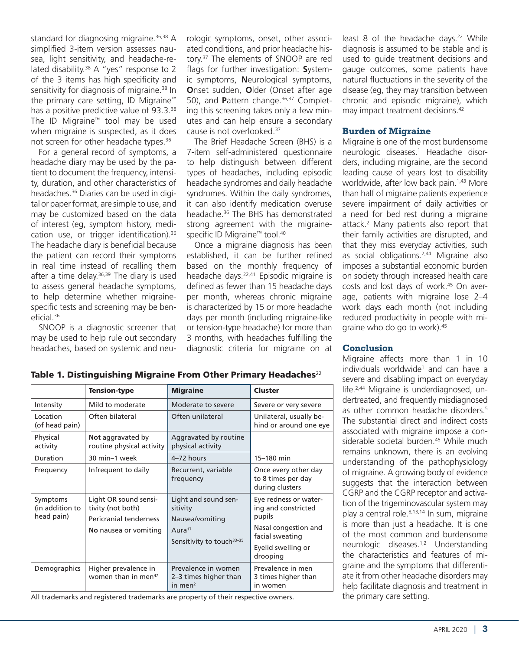standard for diagnosing migraine.<sup>36,38</sup> A simplified 3-item version assesses nausea, light sensitivity, and headache-related disability.<sup>38</sup> A "yes" response to 2 of the 3 items has high specificity and sensitivity for diagnosis of migraine.<sup>38</sup> In the primary care setting, ID Migraine™ has a positive predictive value of 93.3.<sup>38</sup> The ID Migraine™ tool may be used when migraine is suspected, as it does not screen for other headache types.<sup>36</sup>

For a general record of symptoms, a headache diary may be used by the patient to document the frequency, intensity, duration, and other characteristics of headaches.<sup>36</sup> Diaries can be used in digital or paper format, are simple to use, and may be customized based on the data of interest (eg, symptom history, medication use, or trigger identification).<sup>36</sup> The headache diary is beneficial because the patient can record their symptoms in real time instead of recalling them after a time delay. $36,39$  The diary is used to assess general headache symptoms, to help determine whether migrainespecific tests and screening may be beneficial.36

SNOOP is a diagnostic screener that may be used to help rule out secondary headaches, based on systemic and neurologic symptoms, onset, other associated conditions, and prior headache history.37 The elements of SNOOP are red flags for further investigation: **S**ystemic symptoms, **N**eurological symptoms, **O**nset sudden, **O**lder (Onset after age 50), and **P**attern change.<sup>36,37</sup> Completing this screening takes only a few minutes and can help ensure a secondary cause is not overlooked.37

The Brief Headache Screen (BHS) is a 7-item self-administered questionnaire to help distinguish between different types of headaches, including episodic headache syndromes and daily headache syndromes. Within the daily syndromes, it can also identify medication overuse headache.36 The BHS has demonstrated strong agreement with the migrainespecific ID Migraine™ tool.<sup>40</sup>

Once a migraine diagnosis has been established, it can be further refined based on the monthly frequency of headache days.<sup>22,41</sup> Episodic migraine is defined as fewer than 15 headache days per month, whereas chronic migraine is characterized by 15 or more headache days per month (including migraine-like or tension-type headache) for more than 3 months, with headaches fulfilling the diagnostic criteria for migraine on at

least 8 of the headache days.<sup>22</sup> While diagnosis is assumed to be stable and is used to guide treatment decisions and gauge outcomes, some patients have natural fluctuations in the severity of the disease (eg, they may transition between chronic and episodic migraine), which may impact treatment decisions.<sup>42</sup>

#### **Burden of Migraine**

Migraine is one of the most burdensome neurologic diseases.1 Headache disorders, including migraine, are the second leading cause of years lost to disability worldwide, after low back pain.<sup>1,43</sup> More than half of migraine patients experience severe impairment of daily activities or a need for bed rest during a migraine attack.2 Many patients also report that their family activities are disrupted, and that they miss everyday activities, such as social obligations.2,44 Migraine also imposes a substantial economic burden on society through increased health care costs and lost days of work.45 On average, patients with migraine lose 2–4 work days each month (not including reduced productivity in people with migraine who do go to work).45

#### Tension-type Migraine Cluster Intensity Mild to moderate Moderate Severe Severe or very severe Location (of head pain) Often bilateral Often unilateral Unilateral, usually behind or around one eye Physical activity **Not** aggravated by routine physical activity Aggravated by routine physical activity Duration 30 min–1 week  $4-72$  hours 15–180 min Frequency  $\vert$  Infrequent to daily  $\vert$  Recurrent, variable frequency Once every other day to 8 times per day during clusters Symptoms (in addition to head pain) Light OR sound sensitivity (not both) Pericranial tenderness **No** nausea or vomiting Light and sound sensitivity Nausea/vomiting Aura<sup>17</sup> Sensitivity to touch<sup>33-35</sup> Eye redness or watering and constricted pupils Nasal congestion and facial sweating Eyelid swelling or drooping Demographics | Higher prevalence in women than in men<sup>47</sup> Prevalence in women 2–3 times higher than in men2 Prevalence in men 3 times higher than in women

Table 1. Distinguishing Migraine From Other Primary Headaches $^{22}$ 

All trademarks and registered trademarks are property of their respective owners.

#### **Conclusion**

Migraine affects more than 1 in 10 individuals worldwide<sup>1</sup> and can have a severe and disabling impact on everyday life.2,44 Migraine is underdiagnosed, undertreated, and frequently misdiagnosed as other common headache disorders.5 The substantial direct and indirect costs associated with migraine impose a considerable societal burden.<sup>45</sup> While much remains unknown, there is an evolving understanding of the pathophysiology of migraine. A growing body of evidence suggests that the interaction between CGRP and the CGRP receptor and activation of the trigeminovascular system may play a central role.8,13,14 In sum, migraine is more than just a headache. It is one of the most common and burdensome neurologic diseases.1,2 Understanding the characteristics and features of migraine and the symptoms that differentiate it from other headache disorders may help facilitate diagnosis and treatment in the primary care setting.